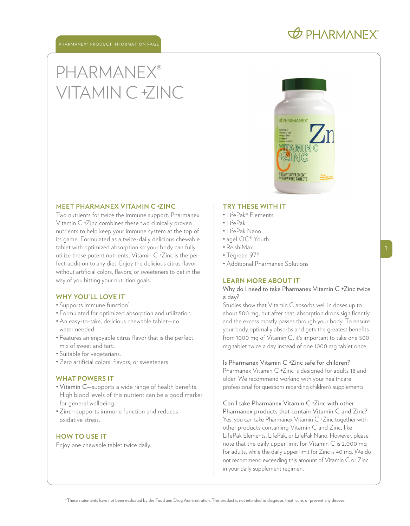### **OD PHARMANEX**

# PHARMANEX® VITAMIN C +ZINC



#### **MEET PHARMANEX VITAMIN C +ZINC**

Two nutrients for twice the immune support. Pharmanex Vitamin C +Zinc combines these two clinically proven nutrients to help keep your immune system at the top of its game. Formulated as a twice-daily delicious chewable tablet with optimized absorption so your body can fully utilize these potent nutrients, Vitamin C +Zinc is the perfect addition to any diet. Enjoy the delicious citrus flavor without artificial colors, flavors, or sweeteners to get in the way of you hitting your nutrition goals.

#### **WHY YOU'LL LOVE IT**

- Supports immune function\*
- Formulated for optimized absorption and utilization.
- An easy-to-take, delicious chewable tablet—no water needed.
- Features an enjoyable citrus flavor that is the perfect mix of sweet and tart.
- Suitable for vegetarians.
- Zero artificial colors, flavors, or sweeteners.

#### **WHAT POWERS IT**

- Vitamin C—supports a wide range of health benefits. High blood levels of this nutrient can be a good marker for general wellbeing.
- Zinc—supports immune function and reduces oxidative stress.

#### **HOW TO USE IT**

Enjoy one chewable tablet twice daily.

#### **TRY THESE WITH IT**

- LifePak® Elements
- $\cdot$  LifePak
- LifePak Nano
- ageLOC® Youth
- ReishiMax
- Tēgreen 97®
- Additional Pharmanex Solutions

#### **LEARN MORE ABOUT IT**

Why do I need to take Pharmanex Vitamin C +Zinc twice a day?

Studies show that Vitamin C absorbs well in doses up to about 500 mg, but after that, absorption drops significantly, and the excess mostly passes through your body. To ensure your body optimally absorbs and gets the greatest benefits from 1000 mg of Vitamin C, it' s important to take one 500 mg tablet twice a day instead of one 1000 mg tablet once.

Is Pharmanex Vitamin C +Zinc safe for children? Pharmanex Vitamin C +Zinc is designed for adults 18 and older. We recommend working with your healthcare professional for questions regarding children' s supplements.

Can I take Pharmanex Vitamin C +Zinc with other Pharmanex products that contain Vitamin C and Zinc? Yes, you can take Pharmanex Vitamin C +Zinc together with other products containing Vitamin C and Zinc, like LifePak Elements, LifePak, or LifePak Nano. However, please note that the daily upper limit for Vitamin C is 2,000 mg for adults, while the daily upper limit for Zinc is 40 mg. We do not recommend exceeding this amount of Vitamin C or Zinc in your daily supplement regimen.